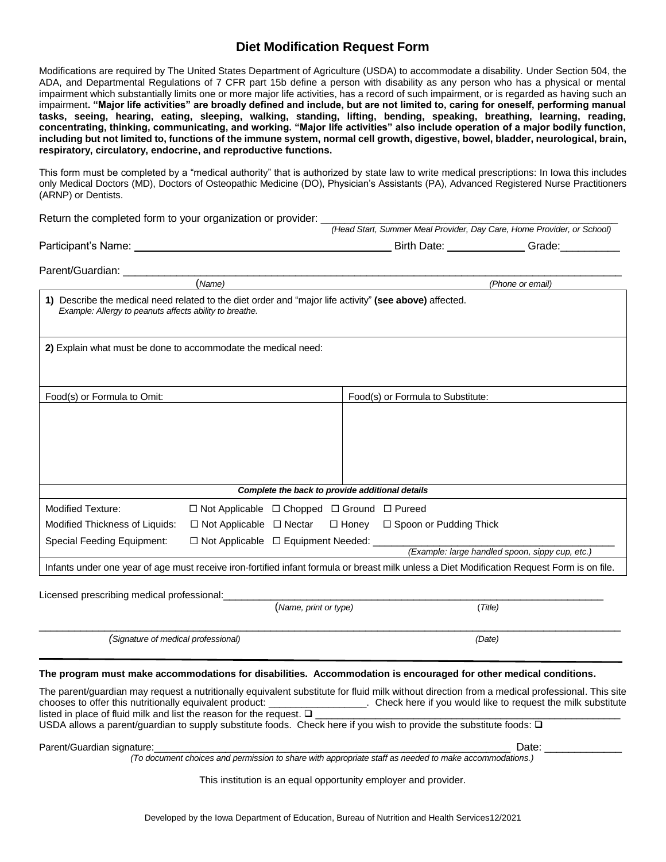## **Diet Modification Request Form**

Modifications are required by The United States Department of Agriculture (USDA) to accommodate a disability. Under Section 504, the ADA, and Departmental Regulations of 7 CFR part 15b define a person with disability as any person who has a physical or mental impairment which substantially limits one or more major life activities, has a record of such impairment, or is regarded as having such an impairment**. "Major life activities" are broadly defined and include, but are not limited to, caring for oneself, performing manual tasks, seeing, hearing, eating, sleeping, walking, standing, lifting, bending, speaking, breathing, learning, reading, concentrating, thinking, communicating, and working. "Major life activities" also include operation of a major bodily function, including but not limited to, functions of the immune system, normal cell growth, digestive, bowel, bladder, neurological, brain, respiratory, circulatory, endocrine, and reproductive functions.** 

This form must be completed by a "medical authority" that is authorized by state law to write medical prescriptions: In Iowa this includes only Medical Doctors (MD), Doctors of Osteopathic Medicine (DO), Physician's Assistants (PA), Advanced Registered Nurse Practitioners (ARNP) or Dentists.

| Return the completed form to your organization or provider: |  |  |  |
|-------------------------------------------------------------|--|--|--|
|                                                             |  |  |  |

|                                                                                                                                                                   |                                   | (Head Start, Summer Meal Provider, Day Care, Home Provider, or School) |  |  |
|-------------------------------------------------------------------------------------------------------------------------------------------------------------------|-----------------------------------|------------------------------------------------------------------------|--|--|
| Participant's Name: ___________                                                                                                                                   |                                   | Birth Date: Crade: Crade:                                              |  |  |
| Parent/Guardian:                                                                                                                                                  |                                   |                                                                        |  |  |
| (Name)                                                                                                                                                            |                                   | (Phone or email)                                                       |  |  |
| 1) Describe the medical need related to the diet order and "major life activity" (see above) affected.<br>Example: Allergy to peanuts affects ability to breathe. |                                   |                                                                        |  |  |
| 2) Explain what must be done to accommodate the medical need:                                                                                                     |                                   |                                                                        |  |  |
| Food(s) or Formula to Omit:                                                                                                                                       | Food(s) or Formula to Substitute: |                                                                        |  |  |
|                                                                                                                                                                   |                                   |                                                                        |  |  |

| Complete the back to provide additional details                                                               |                                                                  |  |  |  |
|---------------------------------------------------------------------------------------------------------------|------------------------------------------------------------------|--|--|--|
| Modified Texture:                                                                                             | $\Box$ Not Applicable $\Box$ Chopped $\Box$ Ground $\Box$ Pureed |  |  |  |
| Modified Thickness of Liquids: $\Box$ Not Applicable $\Box$ Nectar $\Box$ Honey $\Box$ Spoon or Pudding Thick |                                                                  |  |  |  |

 *(Example: large handled spoon, sippy cup, etc.)* Infants under one year of age must receive iron-fortified infant formula or breast milk unless a Diet Modification Request Form is on file.

Licensed prescribing medical professional:

|                                     | (Name, print or type) | Title) |  |
|-------------------------------------|-----------------------|--------|--|
|                                     |                       |        |  |
| (Signature of medical professional) |                       | (Date) |  |

Special Feeding Equipment:  $\square$  Not Applicable  $\square$  Equipment Needed:

## **The program must make accommodations for disabilities. Accommodation is encouraged for other medical conditions.**

The parent/guardian may request a nutritionally equivalent substitute for fluid milk without direction from a medical professional. This site chooses to offer this nutritionally equivalent product: \_\_\_\_\_\_\_\_\_\_\_\_\_\_\_\_\_\_\_\_\_\_.  $\Box$  Check here if you would like to request the milk substitute listed in place of fluid milk and list the reason for the request.  $\square$ USDA allows a parent/guardian to supply substitute foods. Check here if you wish to provide the substitute foods: ❑

Parent/Guardian signature:\_\_\_\_\_\_\_\_\_\_\_\_\_\_\_\_\_\_\_\_\_\_\_\_\_\_\_\_\_\_\_\_\_\_\_\_\_\_\_\_\_\_\_\_\_\_\_\_\_\_\_\_\_\_\_\_\_\_\_\_ Date: \_\_\_\_\_\_\_\_\_\_\_\_\_

*(To document choices and permission to share with appropriate staff as needed to make accommodations.)* 

This institution is an equal opportunity employer and provider.